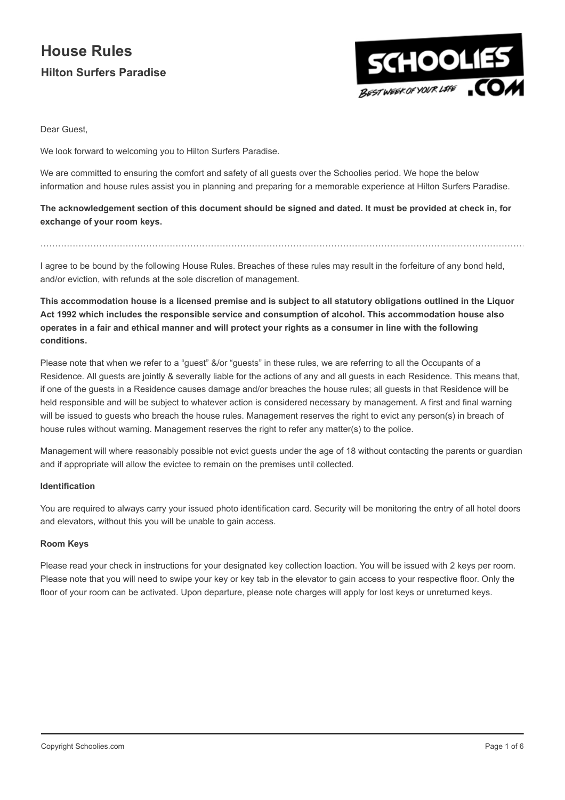

Dear Guest,

We look forward to welcoming you to Hilton Surfers Paradise.

We are committed to ensuring the comfort and safety of all guests over the Schoolies period. We hope the below information and house rules assist you in planning and preparing for a memorable experience at Hilton Surfers Paradise.

The acknowledgement section of this document should be signed and dated. It must be provided at check in, for exchange of your room keys.

I agree to be bound by the following House Rules. Breaches of these rules may result in the forfeiture of any bond held, and/or eviction, with refunds at the sole discretion of management.

…………………………………………………………………………………………………………………………………………………

This accommodation house is a licensed premise and is subject to all statutory obligations outlined in the Liquor Act 1992 which includes the responsible service and consumption of alcohol. This accommodation house also operates in a fair and ethical manner and will protect your rights as a consumer in line with the following conditions.

Please note that when we refer to a "guest" &/or "guests" in these rules, we are referring to all the Occupants of a Residence. All guests are jointly & severally liable for the actions of any and all guests in each Residence. This means that, if one of the guests in a Residence causes damage and/or breaches the house rules; all guests in that Residence will be held responsible and will be subject to whatever action is considered necessary by management. A first and final warning will be issued to guests who breach the house rules. Management reserves the right to evict any person(s) in breach of house rules without warning. Management reserves the right to refer any matter(s) to the police.

Management will where reasonably possible not evict guests under the age of 18 without contacting the parents or guardian and if appropriate will allow the evictee to remain on the premises until collected.

## Identification

You are required to always carry your issued photo identification card. Security will be monitoring the entry of all hotel doors and elevators, without this you will be unable to gain access.

## Room Keys

Please read your check in instructions for your designated key collection loaction. You will be issued with 2 keys per room. Please note that you will need to swipe your key or key tab in the elevator to gain access to your respective floor. Only the floor of your room can be activated. Upon departure, please note charges will apply for lost keys or unreturned keys.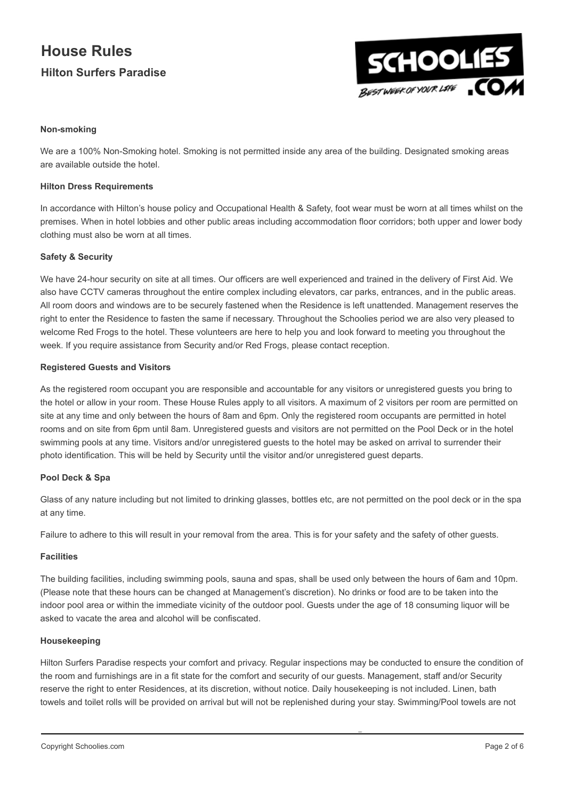

## Non-smoking

We are a 100% Non-Smoking hotel. Smoking is not permitted inside any area of the building. Designated smoking areas are available outside the hotel.

## **Hilton Dress Requirements**

In accordance with Hilton's house policy and Occupational Health & Safety, foot wear must be worn at all times whilst on the premises. When in hotel lobbies and other public areas including accommodation floor corridors; both upper and lower body clothing must also be worn at all times.

## Safety & Security

We have 24-hour security on site at all times. Our officers are well experienced and trained in the delivery of First Aid. We also have CCTV cameras throughout the entire complex including elevators, car parks, entrances, and in the public areas. All room doors and windows are to be securely fastened when the Residence is left unattended. Management reserves the right to enter the Residence to fasten the same if necessary. Throughout the Schoolies period we are also very pleased to welcome Red Frogs to the hotel. These volunteers are here to help you and look forward to meeting you throughout the week. If you require assistance from Security and/or Red Frogs, please contact reception.

## Registered Guests and Visitors

As the registered room occupant you are responsible and accountable for any visitors or unregistered guests you bring to the hotel or allow in your room. These House Rules apply to all visitors. A maximum of 2 visitors per room are permitted on site at any time and only between the hours of 8am and 6pm. Only the registered room occupants are permitted in hotel rooms and on site from 6pm until 8am. Unregistered guests and visitors are not permitted on the Pool Deck or in the hotel swimming pools at any time. Visitors and/or unregistered guests to the hotel may be asked on arrival to surrender their photo identification. This will be held by Security until the visitor and/or unregistered guest departs.

## Pool Deck & Spa

Glass of any nature including but not limited to drinking glasses, bottles etc, are not permitted on the pool deck or in the spa at any time.

Failure to adhere to this will result in your removal from the area. This is for your safety and the safety of other guests.

## **Facilities**

The building facilities, including swimming pools, sauna and spas, shall be used only between the hours of 6am and 10pm. (Please note that these hours can be changed at Management's discretion). No drinks or food are to be taken into the indoor pool area or within the immediate vicinity of the outdoor pool. Guests under the age of 18 consuming liquor will be asked to vacate the area and alcohol will be confiscated.

#### Housekeeping

Hilton Surfers Paradise respects your comfort and privacy. Regular inspections may be conducted to ensure the condition of the room and furnishings are in a fit state for the comfort and security of our guests. Management, staff and/or Security reserve the right to enter Residences, at its discretion, without notice. Daily housekeeping is not included. Linen, bath towels and toilet rolls will be provided on arrival but will not be replenished during your stay. Swimming/Pool towels are not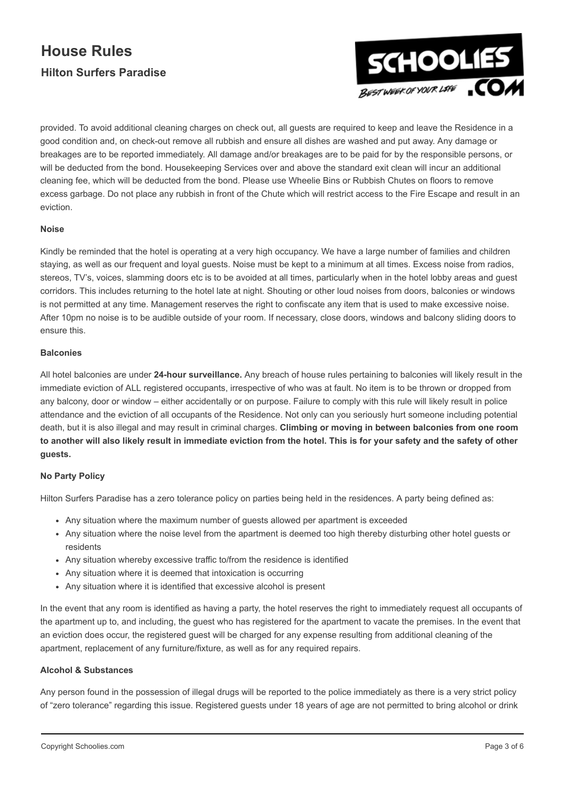

provided. To avoid additional cleaning charges on check out, all guests are required to keep and leave the Residence in a good condition and, on check-out remove all rubbish and ensure all dishes are washed and put away. Any damage or breakages are to be reported immediately. All damage and/or breakages are to be paid for by the responsible persons, or will be deducted from the bond. Housekeeping Services over and above the standard exit clean will incur an additional cleaning fee, which will be deducted from the bond. Please use Wheelie Bins or Rubbish Chutes on floors to remove excess garbage. Do not place any rubbish in front of the Chute which will restrict access to the Fire Escape and result in an eviction.

## Noise

Kindly be reminded that the hotel is operating at a very high occupancy. We have a large number of families and children staying, as well as our frequent and loyal guests. Noise must be kept to a minimum at all times. Excess noise from radios, stereos, TV's, voices, slamming doors etc is to be avoided at all times, particularly when in the hotel lobby areas and guest corridors. This includes returning to the hotel late at night. Shouting or other loud noises from doors, balconies or windows is not permitted at any time. Management reserves the right to confiscate any item that is used to make excessive noise. After 10pm no noise is to be audible outside of your room. If necessary, close doors, windows and balcony sliding doors to ensure this.

## **Balconies**

All hotel balconies are under 24-hour surveillance. Any breach of house rules pertaining to balconies will likely result in the immediate eviction of ALL registered occupants, irrespective of who was at fault. No item is to be thrown or dropped from any balcony, door or window – either accidentally or on purpose. Failure to comply with this rule will likely result in police attendance and the eviction of all occupants of the Residence. Not only can you seriously hurt someone including potential death, but it is also illegal and may result in criminal charges. Climbing or moving in between balconies from one room to another will also likely result in immediate eviction from the hotel. This is for your safety and the safety of other guests.

## No Party Policy

Hilton Surfers Paradise has a zero tolerance policy on parties being held in the residences. A party being defined as:

- Any situation where the maximum number of guests allowed per apartment is exceeded
- Any situation where the noise level from the apartment is deemed too high thereby disturbing other hotel guests or residents
- Any situation whereby excessive traffic to/from the residence is identified
- Any situation where it is deemed that intoxication is occurring
- Any situation where it is identified that excessive alcohol is present

In the event that any room is identified as having a party, the hotel reserves the right to immediately request all occupants of the apartment up to, and including, the guest who has registered for the apartment to vacate the premises. In the event that an eviction does occur, the registered guest will be charged for any expense resulting from additional cleaning of the apartment, replacement of any furniture/fixture, as well as for any required repairs.

## Alcohol & Substances

Any person found in the possession of illegal drugs will be reported to the police immediately as there is a very strict policy of "zero tolerance" regarding this issue. Registered guests under 18 years of age are not permitted to bring alcohol or drink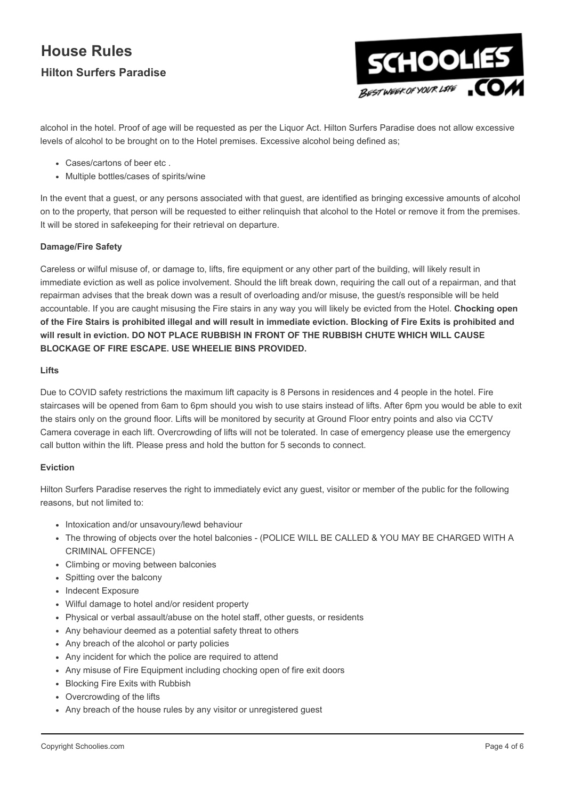

alcohol in the hotel. Proof of age will be requested as per the Liquor Act. Hilton Surfers Paradise does not allow excessive levels of alcohol to be brought on to the Hotel premises. Excessive alcohol being defined as;

- Cases/cartons of beer etc .
- Multiple bottles/cases of spirits/wine

In the event that a guest, or any persons associated with that guest, are identified as bringing excessive amounts of alcohol on to the property, that person will be requested to either relinquish that alcohol to the Hotel or remove it from the premises. It will be stored in safekeeping for their retrieval on departure.

## Damage/Fire Safety

Careless or wilful misuse of, or damage to, lifts, fire equipment or any other part of the building, will likely result in immediate eviction as well as police involvement. Should the lift break down, requiring the call out of a repairman, and that repairman advises that the break down was a result of overloading and/or misuse, the guest/s responsible will be held accountable. If you are caught misusing the Fire stairs in any way you will likely be evicted from the Hotel. Chocking open of the Fire Stairs is prohibited illegal and will result in immediate eviction. Blocking of Fire Exits is prohibited and will result in eviction. DO NOT PLACE RUBBISH IN FRONT OF THE RUBBISH CHUTE WHICH WILL CAUSE BLOCKAGE OF FIRE ESCAPE. USE WHEELIE BINS PROVIDED.

## Lifts

Due to COVID safety restrictions the maximum lift capacity is 8 Persons in residences and 4 people in the hotel. Fire staircases will be opened from 6am to 6pm should you wish to use stairs instead of lifts. After 6pm you would be able to exit the stairs only on the ground floor. Lifts will be monitored by security at Ground Floor entry points and also via CCTV Camera coverage in each lift. Overcrowding of lifts will not be tolerated. In case of emergency please use the emergency call button within the lift. Please press and hold the button for 5 seconds to connect.

## Eviction

Hilton Surfers Paradise reserves the right to immediately evict any guest, visitor or member of the public for the following reasons, but not limited to:

- Intoxication and/or unsavoury/lewd behaviour
- . The throwing of objects over the hotel balconies (POLICE WILL BE CALLED & YOU MAY BE CHARGED WITH A CRIMINAL OFFENCE)
- Climbing or moving between balconies
- Spitting over the balcony
- Indecent Exposure
- Wilful damage to hotel and/or resident property
- Physical or verbal assault/abuse on the hotel staff, other guests, or residents
- Any behaviour deemed as a potential safety threat to others
- Any breach of the alcohol or party policies
- Any incident for which the police are required to attend
- Any misuse of Fire Equipment including chocking open of fire exit doors
- Blocking Fire Exits with Rubbish
- Overcrowding of the lifts
- Any breach of the house rules by any visitor or unregistered guest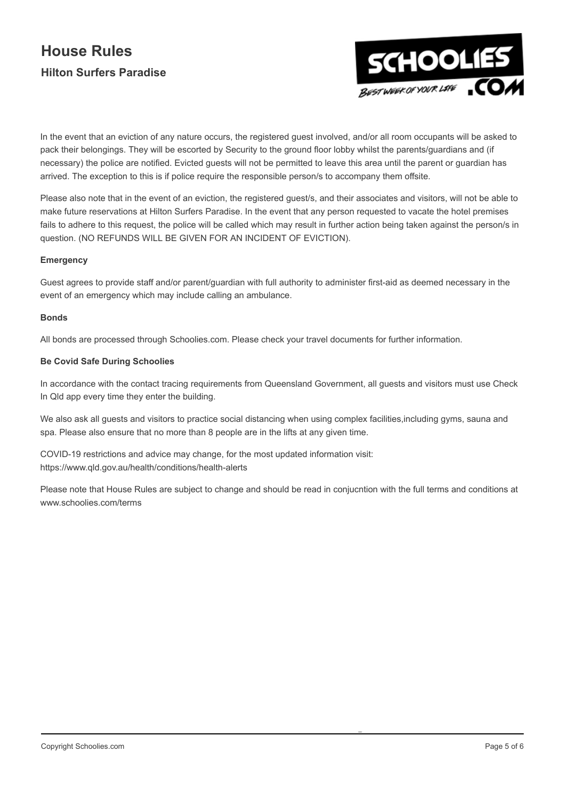

In the event that an eviction of any nature occurs, the registered guest involved, and/or all room occupants will be asked to pack their belongings. They will be escorted by Security to the ground floor lobby whilst the parents/guardians and (if necessary) the police are notified. Evicted guests will not be permitted to leave this area until the parent or guardian has arrived. The exception to this is if police require the responsible person/s to accompany them offsite.

Please also note that in the event of an eviction, the registered guest/s, and their associates and visitors, will not be able to make future reservations at Hilton Surfers Paradise. In the event that any person requested to vacate the hotel premises fails to adhere to this request, the police will be called which may result in further action being taken against the person/s in question. (NO REFUNDS WILL BE GIVEN FOR AN INCIDENT OF EVICTION).

## Emergency

Guest agrees to provide staff and/or parent/guardian with full authority to administer first-aid as deemed necessary in the event of an emergency which may include calling an ambulance.

## Bonds

All bonds are processed through Schoolies.com. Please check your travel documents for further information.

## Be Covid Safe During Schoolies

In accordance with the contact tracing requirements from Queensland Government, all guests and visitors must use Check In Qld app every time they enter the building.

We also ask all guests and visitors to practice social distancing when using complex facilities, including gyms, sauna and spa. Please also ensure that no more than 8 people are in the lifts at any given time.

COVID-19 restrictions and advice may change, for the most updated information visit: https://www.qld.gov.au/health/conditions/health-alerts

Please note that House Rules are subject to change and should be read in conjucntion with the full terms and conditions at www.schoolies.com/terms